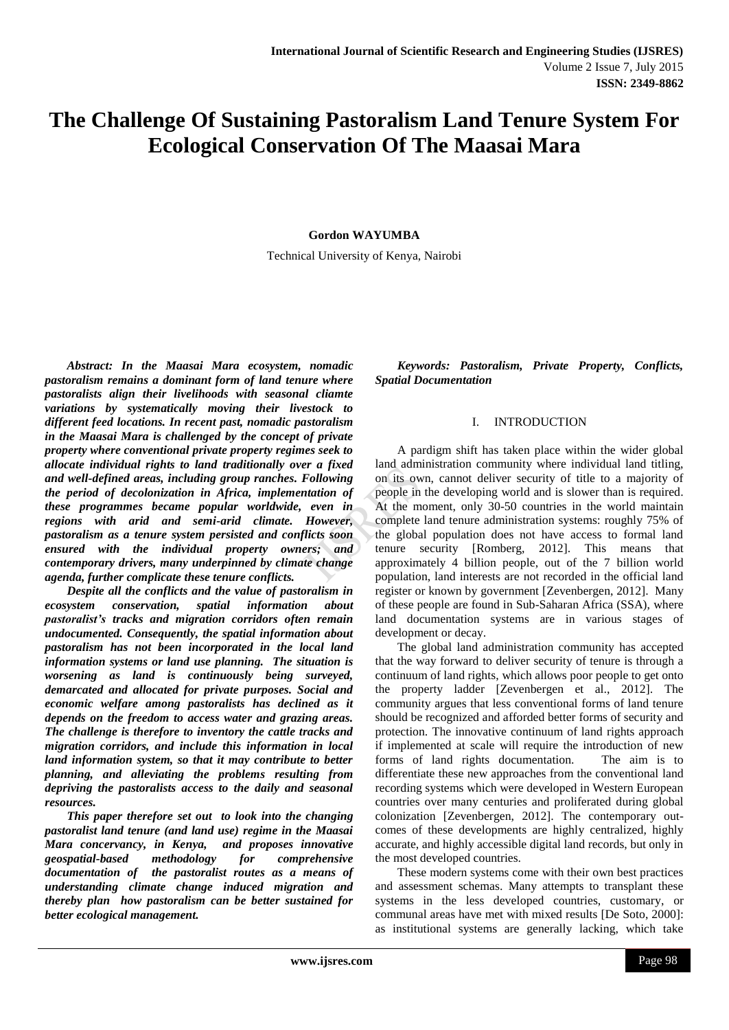# **The Challenge Of Sustaining Pastoralism Land Tenure System For Ecological Conservation Of The Maasai Mara**

### **Gordon WAYUMBA**

Technical University of Kenya, Nairobi

*Abstract: In the Maasai Mara ecosystem, nomadic pastoralism remains a dominant form of land tenure where pastoralists align their livelihoods with seasonal cliamte variations by systematically moving their livestock to different feed locations. In recent past, nomadic pastoralism in the Maasai Mara is challenged by the concept of private property where conventional private property regimes seek to allocate individual rights to land traditionally over a fixed and well-defined areas, including group ranches. Following the period of decolonization in Africa, implementation of these programmes became popular worldwide, even in regions with arid and semi-arid climate. However, pastoralism as a tenure system persisted and conflicts soon ensured with the individual property owners; and contemporary drivers, many underpinned by climate change agenda, further complicate these tenure conflicts.*

*Despite all the conflicts and the value of pastoralism in ecosystem conservation, spatial information about pastoralist's tracks and migration corridors often remain undocumented. Consequently, the spatial information about pastoralism has not been incorporated in the local land information systems or land use planning. The situation is worsening as land is continuously being surveyed, demarcated and allocated for private purposes. Social and economic welfare among pastoralists has declined as it depends on the freedom to access water and grazing areas. The challenge is therefore to inventory the cattle tracks and migration corridors, and include this information in local land information system, so that it may contribute to better planning, and alleviating the problems resulting from depriving the pastoralists access to the daily and seasonal resources.*

*This paper therefore set out to look into the changing pastoralist land tenure (and land use) regime in the Maasai Mara concervancy, in Kenya, and proposes innovative geospatial-based methodology for comprehensive documentation of the pastoralist routes as a means of understanding climate change induced migration and thereby plan how pastoralism can be better sustained for better ecological management.*

*Keywords: Pastoralism, Private Property, Conflicts, Spatial Documentation*

#### I. INTRODUCTION

A pardigm shift has taken place within the wider global land administration community where individual land titling, on its own, cannot deliver security of title to a majority of people in the developing world and is slower than is required. At the moment, only 30-50 countries in the world maintain complete land tenure administration systems: roughly 75% of the global population does not have access to formal land tenure security [Romberg, 2012]. This means that approximately 4 billion people, out of the 7 billion world population, land interests are not recorded in the official land register or known by government [Zevenbergen, 2012]. Many of these people are found in Sub-Saharan Africa (SSA), where land documentation systems are in various stages of development or decay.

The global land administration community has accepted that the way forward to deliver security of tenure is through a continuum of land rights, which allows poor people to get onto the property ladder [Zevenbergen et al., 2012]. The community argues that less conventional forms of land tenure should be recognized and afforded better forms of security and protection. The innovative continuum of land rights approach if implemented at scale will require the introduction of new forms of land rights documentation. The aim is to differentiate these new approaches from the conventional land recording systems which were developed in Western European countries over many centuries and proliferated during global colonization [Zevenbergen, 2012]. The contemporary outcomes of these developments are highly centralized, highly accurate, and highly accessible digital land records, but only in the most developed countries.

These modern systems come with their own best practices and assessment schemas. Many attempts to transplant these systems in the less developed countries, customary, or communal areas have met with mixed results [De Soto, 2000]: as institutional systems are generally lacking, which take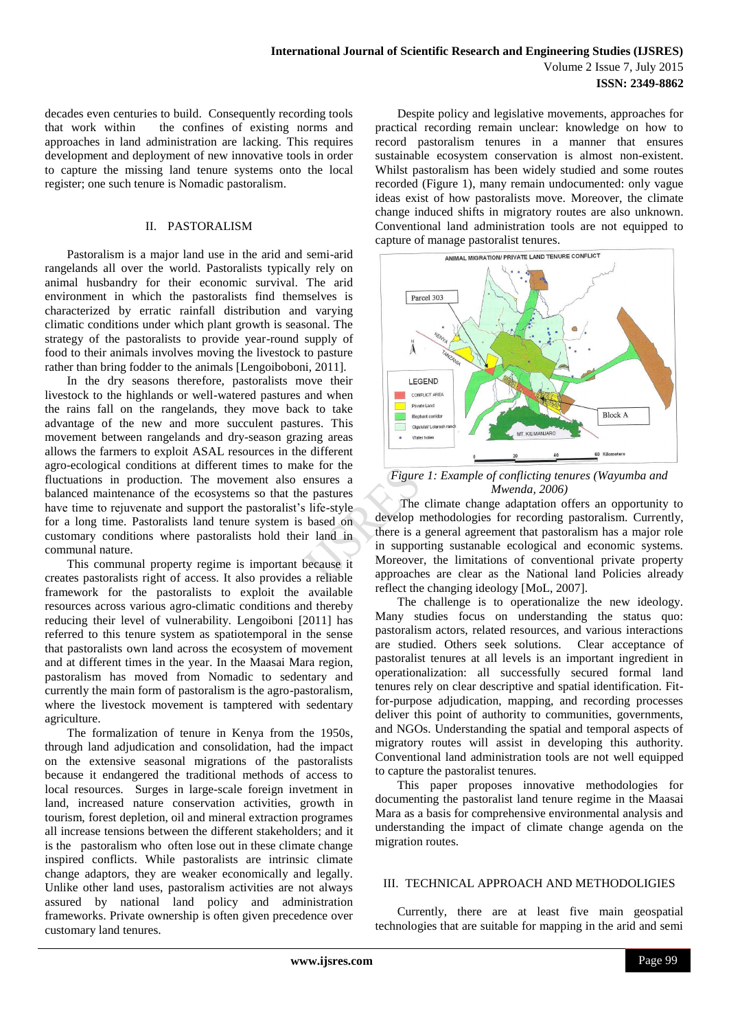decades even centuries to build. Consequently recording tools that work within the confines of existing norms and approaches in land administration are lacking. This requires development and deployment of new innovative tools in order to capture the missing land tenure systems onto the local register; one such tenure is Nomadic pastoralism.

#### II. PASTORALISM

Pastoralism is a major land use in the arid and semi-arid rangelands all over the world. Pastoralists typically rely on animal husbandry for their economic survival. The arid environment in which the pastoralists find themselves is characterized by erratic rainfall distribution and varying climatic conditions under which plant growth is seasonal. The strategy of the pastoralists to provide year-round supply of food to their animals involves moving the livestock to pasture rather than bring fodder to the animals [Lengoiboboni, 2011].

In the dry seasons therefore, pastoralists move their livestock to the highlands or well-watered pastures and when the rains fall on the rangelands, they move back to take advantage of the new and more succulent pastures. This movement between rangelands and dry-season grazing areas allows the farmers to exploit ASAL resources in the different agro-ecological conditions at different times to make for the fluctuations in production. The movement also ensures a balanced maintenance of the ecosystems so that the pastures have time to rejuvenate and support the pastoralist's life-style for a long time. Pastoralists land tenure system is based on customary conditions where pastoralists hold their land in communal nature.

This communal property regime is important because it creates pastoralists right of access. It also provides a reliable framework for the pastoralists to exploit the available resources across various agro-climatic conditions and thereby reducing their level of vulnerability. Lengoiboni [2011] has referred to this tenure system as spatiotemporal in the sense that pastoralists own land across the ecosystem of movement and at different times in the year. In the Maasai Mara region, pastoralism has moved from Nomadic to sedentary and currently the main form of pastoralism is the agro-pastoralism, where the livestock movement is tamptered with sedentary agriculture.

The formalization of tenure in Kenya from the 1950s, through land adjudication and consolidation, had the impact on the extensive seasonal migrations of the pastoralists because it endangered the traditional methods of access to local resources. Surges in large-scale foreign invetment in land, increased nature conservation activities, growth in tourism, forest depletion, oil and mineral extraction programes all increase tensions between the different stakeholders; and it is the pastoralism who often lose out in these climate change inspired conflicts. While pastoralists are intrinsic climate change adaptors, they are weaker economically and legally. Unlike other land uses, pastoralism activities are not always assured by national land policy and administration frameworks. Private ownership is often given precedence over customary land tenures.

Despite policy and legislative movements, approaches for practical recording remain unclear: knowledge on how to record pastoralism tenures in a manner that ensures sustainable ecosystem conservation is almost non-existent. Whilst pastoralism has been widely studied and some routes recorded (Figure 1), many remain undocumented: only vague ideas exist of how pastoralists move. Moreover, the climate change induced shifts in migratory routes are also unknown. Conventional land administration tools are not equipped to



*Figure 1: Example of conflicting tenures (Wayumba and Mwenda, 2006)*

The climate change adaptation offers an opportunity to develop methodologies for recording pastoralism. Currently, there is a general agreement that pastoralism has a major role in supporting sustanable ecological and economic systems. Moreover, the limitations of conventional private property approaches are clear as the National land Policies already reflect the changing ideology [MoL, 2007].

The challenge is to operationalize the new ideology. Many studies focus on understanding the status quo: pastoralism actors, related resources, and various interactions are studied. Others seek solutions. Clear acceptance of pastoralist tenures at all levels is an important ingredient in operationalization: all successfully secured formal land tenures rely on clear descriptive and spatial identification. Fitfor-purpose adjudication, mapping, and recording processes deliver this point of authority to communities, governments, and NGOs. Understanding the spatial and temporal aspects of migratory routes will assist in developing this authority. Conventional land administration tools are not well equipped to capture the pastoralist tenures.

This paper proposes innovative methodologies for documenting the pastoralist land tenure regime in the Maasai Mara as a basis for comprehensive environmental analysis and understanding the impact of climate change agenda on the migration routes.

#### III. TECHNICAL APPROACH AND METHODOLIGIES

Currently, there are at least five main geospatial technologies that are suitable for mapping in the arid and semi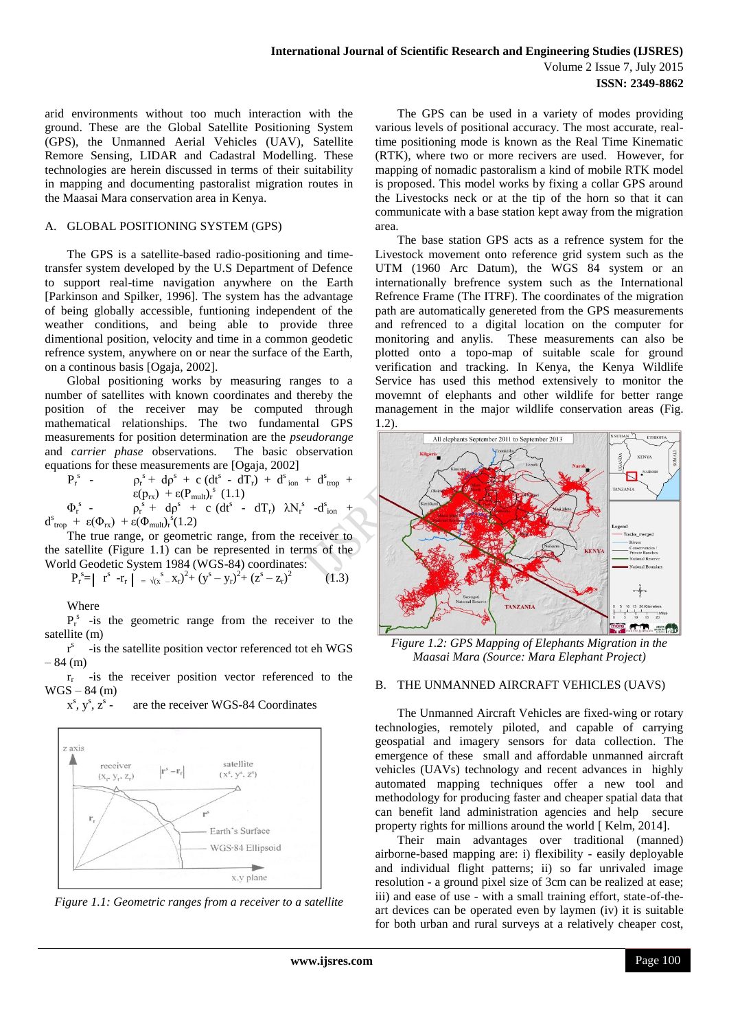arid environments without too much interaction with the ground. These are the Global Satellite Positioning System (GPS), the Unmanned Aerial Vehicles (UAV), Satellite Remore Sensing, LIDAR and Cadastral Modelling. These technologies are herein discussed in terms of their suitability in mapping and documenting pastoralist migration routes in the Maasai Mara conservation area in Kenya.

#### A. GLOBAL POSITIONING SYSTEM (GPS)

The GPS is a satellite-based radio-positioning and timetransfer system developed by the U.S Department of Defence to support real-time navigation anywhere on the Earth [Parkinson and Spilker, 1996]. The system has the advantage of being globally accessible, funtioning independent of the weather conditions, and being able to provide three dimentional position, velocity and time in a common geodetic refrence system, anywhere on or near the surface of the Earth, on a continous basis [Ogaja, 2002].

Global positioning works by measuring ranges to a number of satellites with known coordinates and thereby the position of the receiver may be computed through mathematical relationships. The two fundamental GPS measurements for position determination are the *pseudorange* and *carrier phase* observations. The basic observation equations for these measurements are [Ogaja, 2002]

$$
P_r^s - \rho_r^s + d\rho^s + c (dt^s - dT_r) + d^s_{ion} + d^s_{trop} +
$$
  
\n
$$
\epsilon(p_{rx}) + \epsilon(P_{mult})_r^s (1.1)
$$
  
\n
$$
\Phi_r^s - \rho_r^s + d\rho^s + c (dt^s - dT_r) \lambda N_r^s - d^s_{ion} +
$$

 $d^s_{\text{trop}} + \varepsilon(\Phi_{rx}) + \varepsilon(\Phi_{\text{mult}})^s_r(1.2)$ The true range, or geometric range, from the receiver to the satellite (Figure 1.1) can be represented in terms of the World Geodetic System 1984 (WGS-84) coordinates:

$$
P_r^s = |r^s - r_r| = \sqrt{(x^s - x_r)^2 + (y^s - y_r)^2 + (z^s - z_r)^2}
$$
 (1.3)

Where

 $P_r^s$  -is the geometric range from the receiver to the satellite (m)

r s -is the satellite position vector referenced tot eh WGS  $-84$  (m)

 $r_r$  -is the receiver position vector referenced to the  $WGS - 84$  (m)

 $x^s, y^s, z^s$ are the receiver WGS-84 Coordinates



*Figure 1.1: Geometric ranges from a receiver to a satellite*

The GPS can be used in a variety of modes providing various levels of positional accuracy. The most accurate, realtime positioning mode is known as the Real Time Kinematic (RTK), where two or more recivers are used. However, for mapping of nomadic pastoralism a kind of mobile RTK model is proposed. This model works by fixing a collar GPS around the Livestocks neck or at the tip of the horn so that it can communicate with a base station kept away from the migration area.

The base station GPS acts as a refrence system for the Livestock movement onto reference grid system such as the UTM (1960 Arc Datum), the WGS 84 system or an internationally brefrence system such as the International Refrence Frame (The ITRF). The coordinates of the migration path are automatically genereted from the GPS measurements and refrenced to a digital location on the computer for monitoring and anylis. These measurements can also be plotted onto a topo-map of suitable scale for ground verification and tracking. In Kenya, the Kenya Wildlife Service has used this method extensively to monitor the movemnt of elephants and other wildlife for better range management in the major wildlife conservation areas (Fig. 1.2).



*Figure 1.2: GPS Mapping of Elephants Migration in the Maasai Mara (Source: Mara Elephant Project)*

#### B. THE UNMANNED AIRCRAFT VEHICLES (UAVS)

The Unmanned Aircraft Vehicles are fixed-wing or rotary technologies, remotely piloted, and capable of carrying geospatial and imagery sensors for data collection. The emergence of these small and affordable unmanned aircraft vehicles (UAVs) technology and recent advances in highly automated mapping techniques offer a new tool and methodology for producing faster and cheaper spatial data that can benefit land administration agencies and help secure property rights for millions around the world [ Kelm, 2014].

Their main advantages over traditional (manned) airborne-based mapping are: i) flexibility - easily deployable and individual flight patterns; ii) so far unrivaled image resolution - a ground pixel size of 3cm can be realized at ease; iii) and ease of use - with a small training effort, state-of-theart devices can be operated even by laymen (iv) it is suitable for both urban and rural surveys at a relatively cheaper cost,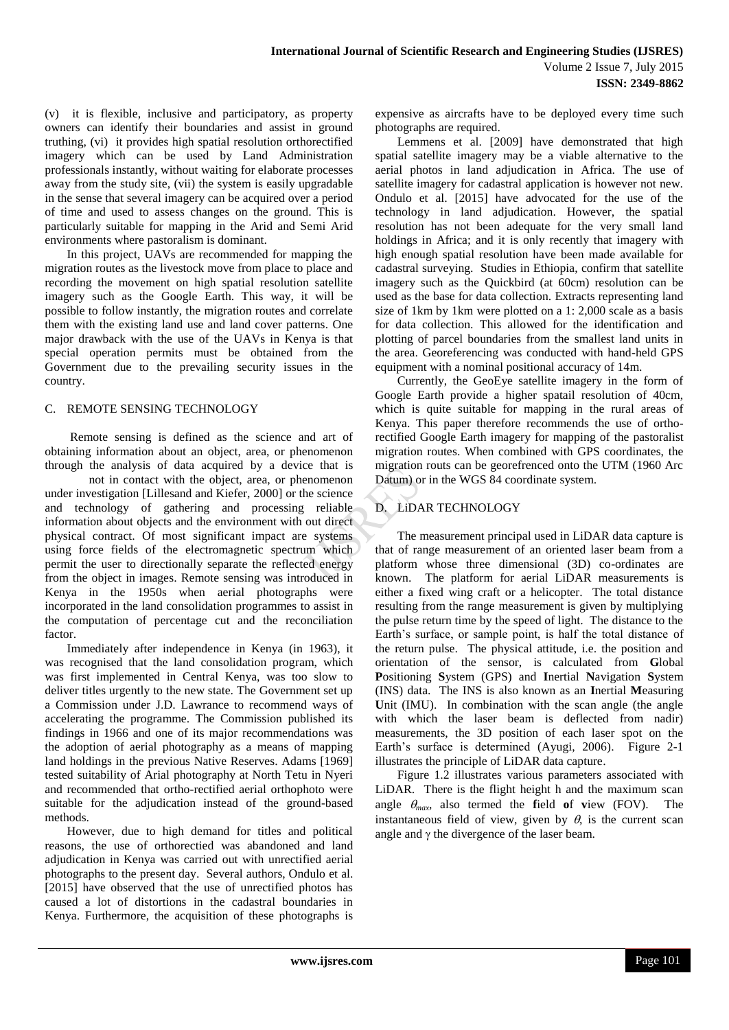(v) it is flexible, inclusive and participatory, as property owners can identify their boundaries and assist in ground truthing, (vi) it provides high spatial resolution orthorectified imagery which can be used by Land Administration professionals instantly, without waiting for elaborate processes away from the study site, (vii) the system is easily upgradable in the sense that several imagery can be acquired over a period of time and used to assess changes on the ground. This is particularly suitable for mapping in the Arid and Semi Arid environments where pastoralism is dominant.

In this project, UAVs are recommended for mapping the migration routes as the livestock move from place to place and recording the movement on high spatial resolution satellite imagery such as the Google Earth. This way, it will be possible to follow instantly, the migration routes and correlate them with the existing land use and land cover patterns. One major drawback with the use of the UAVs in Kenya is that special operation permits must be obtained from the Government due to the prevailing security issues in the country.

### C. REMOTE SENSING TECHNOLOGY

Remote sensing is defined as the science and art of obtaining information about an object, area, or phenomenon through the analysis of data acquired by a device that is not in contact with the object, area, or phenomenon under investigation [Lillesand and Kiefer, 2000] or the science and technology of gathering and processing reliable information about objects and the environment with out direct physical contract. Of most significant impact are systems using force fields of the electromagnetic spectrum which permit the user to directionally separate the reflected energy from the object in images. Remote sensing was introduced in Kenya in the 1950s when aerial photographs were incorporated in the land consolidation programmes to assist in the computation of percentage cut and the reconciliation factor.

Immediately after independence in Kenya (in 1963), it was recognised that the land consolidation program, which was first implemented in Central Kenya, was too slow to deliver titles urgently to the new state. The Government set up a Commission under J.D. Lawrance to recommend ways of accelerating the programme. The Commission published its findings in 1966 and one of its major recommendations was the adoption of aerial photography as a means of mapping land holdings in the previous Native Reserves. Adams [1969] tested suitability of Arial photography at North Tetu in Nyeri and recommended that ortho-rectified aerial orthophoto were suitable for the adjudication instead of the ground-based methods.

However, due to high demand for titles and political reasons, the use of orthorectied was abandoned and land adjudication in Kenya was carried out with unrectified aerial photographs to the present day. Several authors, Ondulo et al. [2015] have observed that the use of unrectified photos has caused a lot of distortions in the cadastral boundaries in Kenya. Furthermore, the acquisition of these photographs is expensive as aircrafts have to be deployed every time such photographs are required.

Lemmens et al. [2009] have demonstrated that high spatial satellite imagery may be a viable alternative to the aerial photos in land adjudication in Africa. The use of satellite imagery for cadastral application is however not new. Ondulo et al. [2015] have advocated for the use of the technology in land adjudication. However, the spatial resolution has not been adequate for the very small land holdings in Africa; and it is only recently that imagery with high enough spatial resolution have been made available for cadastral surveying. Studies in Ethiopia, confirm that satellite imagery such as the Quickbird (at 60cm) resolution can be used as the base for data collection. Extracts representing land size of 1km by 1km were plotted on a 1: 2,000 scale as a basis for data collection. This allowed for the identification and plotting of parcel boundaries from the smallest land units in the area. Georeferencing was conducted with hand-held GPS equipment with a nominal positional accuracy of 14m.

Currently, the GeoEye satellite imagery in the form of Google Earth provide a higher spatail resolution of 40cm, which is quite suitable for mapping in the rural areas of Kenya. This paper therefore recommends the use of orthorectified Google Earth imagery for mapping of the pastoralist migration routes. When combined with GPS coordinates, the migration routs can be georefrenced onto the UTM (1960 Arc Datum) or in the WGS 84 coordinate system.

## D. LiDAR TECHNOLOGY

The measurement principal used in LiDAR data capture is that of range measurement of an oriented laser beam from a platform whose three dimensional (3D) co-ordinates are known. The platform for aerial LiDAR measurements is either a fixed wing craft or a helicopter. The total distance resulting from the range measurement is given by multiplying the pulse return time by the speed of light. The distance to the Earth's surface, or sample point, is half the total distance of the return pulse. The physical attitude, i.e. the position and orientation of the sensor, is calculated from **G**lobal **P**ositioning **S**ystem (GPS) and **I**nertial **N**avigation **S**ystem (INS) data. The INS is also known as an **I**nertial **M**easuring Unit (IMU). In combination with the scan angle (the angle with which the laser beam is deflected from nadir) measurements, the 3D position of each laser spot on the Earth's surface is determined (Ayugi, 2006). Figure 2-1 illustrates the principle of LiDAR data capture.

Figure 1.2 illustrates various parameters associated with LiDAR. There is the flight height h and the maximum scan angle  $\theta_{max}$ , also termed the field of **v**iew (FOV). The instantaneous field of view, given by  $\theta$ , is the current scan angle and  $\gamma$  the divergence of the laser beam.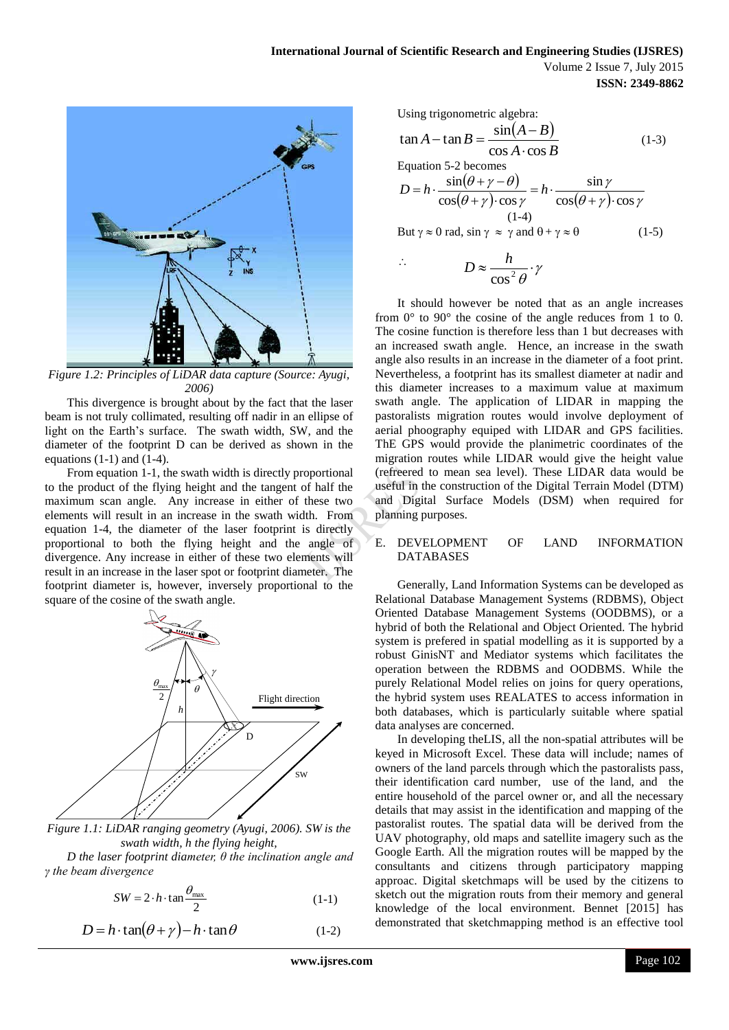

*Figure 1.2: Principles of LiDAR data capture (Source: Ayugi, 2006)*

This divergence is brought about by the fact that the laser beam is not truly collimated, resulting off nadir in an ellipse of light on the Earth's surface. The swath width, SW, and the diameter of the footprint D can be derived as shown in the equations  $(1-1)$  and  $(1-4)$ .

From equation 1-1, the swath width is directly proportional to the product of the flying height and the tangent of half the maximum scan angle. Any increase in either of these two elements will result in an increase in the swath width. From equation 1-4, the diameter of the laser footprint is directly proportional to both the flying height and the angle of divergence. Any increase in either of these two elements will result in an increase in the laser spot or footprint diameter. The footprint diameter is, however, inversely proportional to the square of the cosine of the swath angle.



*Figure 1.1: LiDAR ranging geometry (Ayugi, 2006). SW is the swath width, h the flying height,*

*D the laser footprint diameter, θ the inclination angle and γ the beam divergence*

$$
SW = 2 \cdot h \cdot \tan \frac{\theta_{\text{max}}}{2} \tag{1-1}
$$

$$
D = h \cdot \tan(\theta + \gamma) - h \cdot \tan \theta \tag{1-2}
$$

Using trigonometric algebra:  
\n
$$
\tan A - \tan B = \frac{\sin(A - B)}{\cos A \cdot \cos B}
$$
\n
$$
\text{Equation 5-2 becomes}
$$
\n
$$
D = h \cdot \frac{\sin(\theta + \gamma - \theta)}{\cos(\theta + \gamma) \cdot \cos \gamma} = h \cdot \frac{\sin \gamma}{\cos(\theta + \gamma) \cdot \cos \gamma}
$$
\n
$$
\text{(1-4)}
$$
\n
$$
\text{But } \gamma \approx 0 \text{ rad, } \sin \gamma \approx \gamma \text{ and } \theta + \gamma \approx \theta
$$
\n
$$
\text{(1-5)}
$$

$$
\therefore \qquad D \approx \frac{h}{\cos^2 \theta} \cdot \gamma
$$

It should however be noted that as an angle increases from 0° to 90° the cosine of the angle reduces from 1 to 0. The cosine function is therefore less than 1 but decreases with an increased swath angle. Hence, an increase in the swath angle also results in an increase in the diameter of a foot print. Nevertheless, a footprint has its smallest diameter at nadir and this diameter increases to a maximum value at maximum swath angle. The application of LIDAR in mapping the pastoralists migration routes would involve deployment of aerial phoography equiped with LIDAR and GPS facilities. ThE GPS would provide the planimetric coordinates of the migration routes while LIDAR would give the height value (refreered to mean sea level). These LIDAR data would be useful in the construction of the Digital Terrain Model (DTM) and Digital Surface Models (DSM) when required for planning purposes.

#### E. DEVELOPMENT OF LAND INFORMATION DATABASES

 $\theta_{\text{max}}$   $\leftrightarrow$   $\leftrightarrow$   $\theta$   $\rightarrow$   $\rightarrow$   $\theta$   $\rightarrow$   $\theta$   $\rightarrow$   $\theta$   $\rightarrow$   $\theta$   $\rightarrow$   $\theta$   $\rightarrow$   $\theta$   $\rightarrow$   $\theta$   $\rightarrow$   $\theta$   $\rightarrow$   $\theta$   $\rightarrow$   $\theta$   $\rightarrow$   $\theta$   $\rightarrow$   $\theta$   $\rightarrow$   $\theta$   $\rightarrow$   $\theta$   $\rightarrow$   $\theta$   $\rightarrow$   $\theta$   $\rightarrow$   $\theta$   $\rightarrow$   $\theta$   $\rightarrow$   $\theta$   $\gamma$  operation between the RDBMS and OODBMS. While the Generally, Land Information Systems can be developed as Relational Database Management Systems (RDBMS), Object Oriented Database Management Systems (OODBMS), or a hybrid of both the Relational and Object Oriented. The hybrid system is prefered in spatial modelling as it is supported by a robust GinisNT and Mediator systems which facilitates the the hybrid system uses REALATES to access information in both databases, which is particularly suitable where spatial data analyses are concerned.

> In developing theLIS, all the non-spatial attributes will be keyed in Microsoft Excel. These data will include; names of owners of the land parcels through which the pastoralists pass, their identification card number, use of the land, and the entire household of the parcel owner or, and all the necessary details that may assist in the identification and mapping of the pastoralist routes. The spatial data will be derived from the UAV photography, old maps and satellite imagery such as the Google Earth. All the migration routes will be mapped by the consultants and citizens through participatory mapping approac. Digital sketchmaps will be used by the citizens to sketch out the migration routs from their memory and general knowledge of the local environment. Bennet [2015] has demonstrated that sketchmapping method is an effective tool